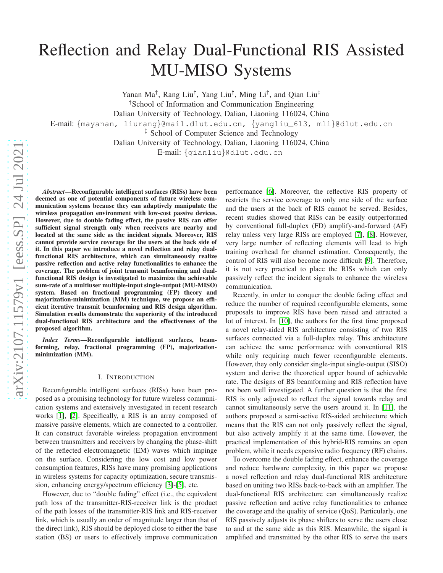# Reflection and Relay Dual-Functional RIS Assisted MU-MISO Systems

Yanan Ma<sup>†</sup>, Rang Liu<sup>†</sup>, Yang Liu<sup>†</sup>, Ming Li<sup>†</sup>, and Qian Liu<sup>‡</sup> †School of Information and Communication Engineering Dalian University of Technology, Dalian, Liaoning 116024, China E-mail: {mayanan, liurang}@mail.dlut.edu.cn, {yangliu\_613, mli}@dlut.edu.cn ‡ School of Computer Science and Technology Dalian University of Technology, Dalian, Liaoning 116024, China E-mail: {qianliu}@dlut.edu.cn

*Abstract*—Reconfigurable intelligent surfaces (RISs) have been deemed as one of potential components of future wireless communication systems because they can adaptively manipulate the wireless propagation environment with low-cost passive devices. However, due to double fading effect, the passive RIS can offer sufficient signal strength only when receivers are nearby and located at the same side as the incident signals. Moreover, RIS cannot provide service coverage for the users at the back side of it. In this paper we introduce a novel reflection and relay dualfunctional RIS architecture, which can simultaneously realize passive reflection and active relay functionalities to enhance the coverage. The problem of joint transmit beamforming and dualfunctional RIS design is investigated to maximize the achievable sum-rate of a multiuser multiple-input single-output (MU-MISO) system. Based on fractional programming (FP) theory and majorization-minimization (MM) technique, we propose an efficient iterative transmit beamforming and RIS design algorithm. Simulation results demonstrate the superiority of the introduced dual-functional RIS architecture and the effectiveness of the proposed algorithm.

*Index Terms*—Reconfigurable intelligent surfaces, beamforming, relay, fractional programming (FP), majorizationminimization (MM).

# I. INTRODUCTION

Reconfigurable intelligent surfaces (RISs) have been proposed as a promising technology for future wireless communication systems and extensively investigated in recent research works [\[1\]](#page-5-0), [\[2\]](#page-5-1). Specifically, a RIS is an array composed of massive passive elements, which are connected to a controller. It can construct favorable wireless propagation environment between transmitters and receivers by changing the phase-shift of the reflected electromagnetic (EM) waves which impinge on the surface. Considering the low cost and low power consumption features, RISs have many promising applications in wireless systems for capacity optimization, secure transmission, enhancing energy/spectrum efficiency [\[3\]](#page-5-2)-[\[5\]](#page-5-3), etc.

However, due to "double fading" effect (i.e., the equivalent path loss of the transmitter-RIS-receiver link is the product of the path losses of the transmitter-RIS link and RIS-receiver link, which is usually an order of magnitude larger than that of the direct link), RIS should be deployed close to either the base station (BS) or users to effectively improve communication

performance [\[6\]](#page-5-4). Moreover, the reflective RIS property of restricts the service coverage to only one side of the surface and the users at the back of RIS cannot be served. Besides, recent studies showed that RISs can be easily outperformed by conventional full-duplex (FD) amplify-and-forward (AF) relay unless very large RISs are employed [\[7\]](#page-5-5), [\[8\]](#page-5-6). However, very large number of reflecting elements will lead to high training overhead for channel estimation. Consequently, the control of RIS will also become more difficult [\[9\]](#page-5-7). Therefore, it is not very practical to place the RISs which can only passively reflect the incident signals to enhance the wireless communication.

Recently, in order to conquer the double fading effect and reduce the number of required reconfigurable elements, some proposals to improve RIS have been raised and attracted a lot of interest. In [\[10\]](#page-5-8), the authors for the first time proposed a novel relay-aided RIS architecture consisting of two RIS surfaces connected via a full-duplex relay. This architecture can achieve the same performance with conventional RIS while only requiring much fewer reconfigurable elements. However, they only consider single-input single-output (SISO) system and derive the theoretical upper bound of achievable rate. The designs of BS beamforming and RIS reflection have not been well investigated. A further question is that the first RIS is only adjusted to reflect the signal towards relay and cannot simultaneously serve the users around it. In [\[11\]](#page-5-9), the authors proposed a semi-active RIS-aided architecture which means that the RIS can not only passively reflect the signal, but also actively amplify it at the same time. However, the practical implementation of this hybrid-RIS remains an open problem, while it needs expensive radio frequency (RF) chains.

To overcome the double fading effect, enhance the coverage and reduce hardware complexity, in this paper we propose a novel reflection and relay dual-functional RIS architecture based on uniting two RISs back-to-back with an amplifier. The dual-functional RIS architecture can simultaneously realize passive reflection and active relay functionalities to enhance the coverage and the quality of service (QoS). Particularly, one RIS passively adjusts its phase shifters to serve the users close to and at the same side as this RIS. Meanwhile, the siganl is amplified and transmitted by the other RIS to serve the users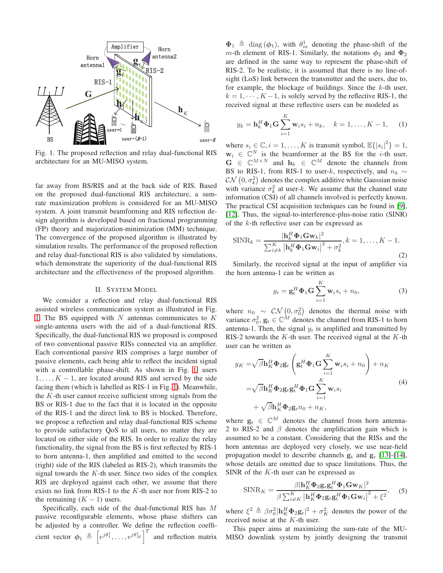<span id="page-1-0"></span>

Fig. 1. The proposed reflection and relay dual-functional RIS architecture for an MU-MISO system.

far away from BS/RIS and at the back side of RIS. Based on the proposed dual-functional RIS architecture, a sumrate maximization problem is considered for an MU-MISO system. A joint transmit beamforming and RIS reflection design algorithm is developed based on fractional programming (FP) theory and majorization-minimization (MM) technique. The convergence of the proposed algorithm is illustrated by simulation results. The performance of the proposed reflection and relay dual-functional RIS is also validated by simulations, which demonstrate the superiority of the dual-functional RIS architecture and the effectiveness of the proposed algorithm.

# II. SYSTEM MODEL

We consider a reflection and relay dual-functional RIS assisted wireless communication system as illustrated in Fig. [1.](#page-1-0) The BS equipped with  $N$  antennas communicates to  $K$ single-antenna users with the aid of a dual-functional RIS. Specifically, the dual-functional RIS we proposed is composed of two conventional passive RISs connected via an amplifier. Each conventional passive RIS comprises a large number of passive elements, each being able to reflect the incident signal with a controllable phase-shift. As shown in Fig. [1,](#page-1-0) users  $1, \ldots, K - 1$ , are located around RIS and served by the side facing them (which is labelled as RIS-1 in Fig. [1\)](#page-1-0). Meanwhile, the  $K$ -th user cannot receive sufficient strong signals from the BS or RIS-1 due to the fact that it is located in the opposite of the RIS-1 and the direct link to BS is blocked. Therefore, we propose a reflection and relay dual-functional RIS scheme to provide satisfactory QoS to all users, no matter they are located on either side of the RIS. In order to realize the relay functionality, the signal from the BS is first reflected by RIS-1 to horn antenna-1, then amplified and emitted to the second (right) side of the RIS (labeled as RIS-2), which transmits the signal towards the  $K$ -th user. Since two sides of the complex RIS are deployed against each other, we assume that there exists no link from RIS-1 to the  $K$ -th user nor from RIS-2 to the remaining  $(K - 1)$  users.

Specifically, each side of the dual-functional RIS has M passive reconfigurable elements, whose phase shifters can be adjusted by a controller. We define the reflection coefficient vector  $\phi_1 \triangleq \left[e^{j\theta_1^1}, \ldots, e^{j\theta_M^1}\right]^T$  and reflection matrix

 $\Phi_1 \triangleq \text{diag}(\phi_1)$ , with  $\theta_m^1$  denoting the phase-shift of the m-th element of RIS-1. Similarly, the notations  $\phi_2$  and  $\Phi_2$ are defined in the same way to represent the phase-shift of RIS-2. To be realistic, it is assumed that there is no line-ofsight (LoS) link between the transmitter and the users, due to, for example, the blockage of buildings. Since the  $k$ -th user,  $k = 1, \dots, K - 1$ , is solely served by the reflective RIS-1, the received signal at these reflective users can be modeled as

$$
y_k = \mathbf{h}_k^H \mathbf{\Phi}_1 \mathbf{G} \sum_{i=1}^K \mathbf{w}_i s_i + n_k, \quad k = 1, ..., K - 1,
$$
 (1)

where  $s_i \in \mathbb{C}, i = 1, ..., K$  is transmit symbol,  $\mathbb{E}\{|s_i|^2\} = 1$ ,  $\mathbf{w}_i \in \mathbb{C}^N$  is the beamformer at the BS for the *i*-th user,  $G \in \mathbb{C}^{M \times N}$  and  $h_k \in \mathbb{C}^M$  denote the channels from BS to RIS-1, from RIS-1 to user-k, respectively, and  $n_k \sim$  $CN(0, \sigma_k^2)$  denotes the complex additive white Gaussian noise with variance  $\sigma_k^2$  at user-k. We assume that the channel state information (CSI) of all channels involved is perfectly known. The practical CSI acquisition techniques can be found in [\[9\]](#page-5-7), [\[12\]](#page-5-10). Thus, the signal-to-interference-plus-noise ratio (SINR) of the  $k$ -th reflective user can be expressed as

$$
\text{SINR}_k = \frac{|\mathbf{h}_k^H \mathbf{\Phi}_1 \mathbf{G} \mathbf{w}_k|^2}{\sum_{i \neq k}^K |\mathbf{h}_k^H \mathbf{\Phi}_1 \mathbf{G} \mathbf{w}_i|^2 + \sigma_k^2}, k = 1, \dots, K - 1.
$$
\n(2)

Similarly, the received signal at the input of amplifier via the horn antenna-1 can be written as

$$
y_{\rm r} = \mathbf{g}_{\rm t}^H \mathbf{\Phi}_1 \mathbf{G} \sum_{i=1}^K \mathbf{w}_i s_i + n_0,
$$
 (3)

where  $n_0 \sim \mathcal{CN}\left(0, \sigma_0^2\right)$  denotes the thermal noise with variance  $\sigma_0^2$ ,  $\mathbf{g}_t \in \mathbb{C}^M$  denotes the channel from RIS-1 to horn antenna-1. Then, the signal  $y_r$  is amplified and transmitted by RIS-2 towards the  $K$ -th user. The received signal at the  $K$ -th user can be written as

$$
y_K = \sqrt{\beta} \mathbf{h}_K^H \mathbf{\Phi}_2 \mathbf{g}_r \left( \mathbf{g}_t^H \mathbf{\Phi}_1 \mathbf{G} \sum_{i=1}^K \mathbf{w}_i s_i + n_0 \right) + n_K
$$
  

$$
= \sqrt{\beta} \mathbf{h}_K^H \mathbf{\Phi}_2 \mathbf{g}_r \mathbf{g}_t^H \mathbf{\Phi}_1 \mathbf{G} \sum_{i=1}^K \mathbf{w}_i s_i
$$
  

$$
+ \sqrt{\beta} \mathbf{h}_K^H \mathbf{\Phi}_2 \mathbf{g}_r n_0 + n_K,
$$
 (4)

where  $\mathbf{g}_{r} \in \mathbb{C}^{M}$  denotes the channel from horn antenna-2 to RIS-2 and  $\beta$  denotes the amplification gain which is assumed to be a constant. Considering that the RISs and the horn antennas are deployed very closely, we use near-field propagation model to describe channels  $g_t$  and  $g_r$  [\[13\]](#page-5-11)-[\[14\]](#page-5-12), whose details are omitted due to space limitations. Thus, the SINR of the  $K$ -th user can be expressed as

$$
\text{SINR}_K = \frac{\beta |\mathbf{h}_K^H \mathbf{\Phi}_2 \mathbf{g}_r \mathbf{g}_t^H \mathbf{\Phi}_1 \mathbf{G} \mathbf{w}_K|^2}{\beta \sum_{i \neq K}^K |\mathbf{h}_K^H \mathbf{\Phi}_2 \mathbf{g}_r \mathbf{g}_t^H \mathbf{\Phi}_1 \mathbf{G} \mathbf{w}_i|^2 + \xi^2}, \quad (5)
$$

where  $\xi^2 \triangleq \beta \sigma_0^2 |\mathbf{h}_K^H \mathbf{\Phi}_2 \mathbf{g}_r|^2 + \sigma_K^2$  denotes the power of the received noise at the K-th user.

This paper aims at maximizing the sum-rate of the MU-MISO downlink system by jointly designing the transmit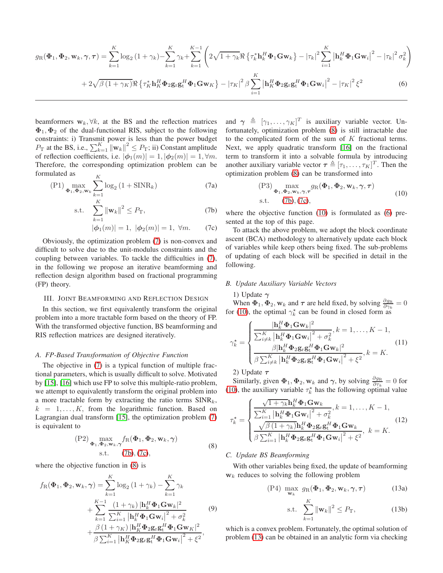<span id="page-2-5"></span>
$$
g_{R}(\Phi_{1}, \Phi_{2}, \mathbf{w}_{k}, \gamma, \tau) = \sum_{k=1}^{K} \log_{2} (1 + \gamma_{k}) - \sum_{k=1}^{K} \gamma_{k} + \sum_{k=1}^{K-1} \left( 2\sqrt{1 + \gamma_{k}} \Re \left\{ \tau_{k}^{*} \mathbf{h}_{k}^{H} \Phi_{1} \mathbf{G} \mathbf{w}_{k} \right\} - |\tau_{k}|^{2} \sum_{i=1}^{K} |\mathbf{h}_{k}^{H} \Phi_{1} \mathbf{G} \mathbf{w}_{i}|^{2} - |\tau_{k}|^{2} \sigma_{k}^{2} \right) + 2\sqrt{\beta (1 + \gamma_{K})} \Re \left\{ \tau_{K}^{*} \mathbf{h}_{K}^{H} \Phi_{2} \mathbf{g}_{r} \mathbf{g}_{t}^{H} \Phi_{1} \mathbf{G} \mathbf{w}_{K} \right\} - |\tau_{K}|^{2} \beta \sum_{i=1}^{K} |\mathbf{h}_{K}^{H} \Phi_{2} \mathbf{g}_{r} \mathbf{g}_{t}^{H} \Phi_{1} \mathbf{G} \mathbf{w}_{i}|^{2} - |\tau_{K}|^{2} \xi^{2}
$$
(6)

beamformers  $w_k$ ,  $\forall k$ , at the BS and the reflection matrices  $\Phi_1, \Phi_2$  of the dual-functional RIS, subject to the following constraints: i) Transmit power is less than the power budget  $P_{\text{T}}$  at the BS, i.e.,  $\sum_{k=1}^{K} ||\mathbf{w}_k||^2 \leq P_{\text{T}}$ ; ii) Constant amplitude of reflection coefficients, i.e.  $|\phi_1(m)| = 1$ ,  $|\phi_2(m)| = 1$ ,  $\forall m$ . Therefore, the corresponding optimization problem can be formulated as

<span id="page-2-0"></span>
$$
(P1) \max_{\Phi_1, \Phi_2, w_k} \sum_{k=1}^{K} \log_2 (1 + \text{SINR}_k)
$$
 (7a)

s.t. 
$$
\sum_{k=1}^{K} ||\mathbf{w}_k||^2 \le P_{\mathrm{T}},
$$
 (7b)

$$
|\phi_1(m)| = 1, \ |\phi_2(m)| = 1, \ \forall m. \tag{7c}
$$

Obviously, the optimization problem [\(7\)](#page-2-0) is non-convex and difficult to solve due to the unit-modulus constraints and the coupling between variables. To tackle the difficulties in [\(7\)](#page-2-0), in the following we propose an iterative beamforming and reflection design algorithm based on fractional programming (FP) theory.

# III. JOINT BEAMFORMING AND REFLECTION DESIGN

In this section, we first equivalently transform the original problem into a more tractable form based on the theory of FP. With the transformed objective function, BS beamforming and RIS reflection matrices are designed iteratively.

#### *A. FP-Based Transformation of Objective Function*

The objective in [\(7\)](#page-2-0) is a typical function of multiple fractional parameters, which is usually difficult to solve. Motivated by [\[15\]](#page-5-13), [\[16\]](#page-5-14) which use FP to solve this multiple-ratio problem, we attempt to equivalently transform the original problem into a more tractable form by extracting the ratio terms  $SINR<sub>k</sub>$ ,  $k = 1, \ldots, K$ , from the logarithmic function. Based on Lagrangian dual transform [\[15\]](#page-5-13), the optimization problem [\(7\)](#page-2-0) is equivalent to

<span id="page-2-3"></span>
$$
\begin{array}{c}\n\text{(P2)}\max_{\mathbf{\Phi}_1,\mathbf{\Phi}_2,\mathbf{w}_k,\gamma} f_{\mathcal{R}}(\mathbf{\Phi}_1,\mathbf{\Phi}_2,\mathbf{w}_k,\gamma) \\
\text{s.t.} \quad (7b), (7c),\n\end{array} \tag{8}
$$

where the objective function in [\(8\)](#page-2-3) is

$$
f_{\rm R}(\Phi_1, \Phi_2, \mathbf{w}_k, \gamma) = \sum_{k=1}^K \log_2 (1 + \gamma_k) - \sum_{k=1}^K \gamma_k
$$
  
+ 
$$
\sum_{k=1}^{K-1} \frac{(1 + \gamma_k) |\mathbf{h}_k^H \Phi_1 \mathbf{G} \mathbf{w}_k|^2}{\sum_{i=1}^K |\mathbf{h}_k^H \Phi_1 \mathbf{G} \mathbf{w}_i|^2 + \sigma_k^2} \qquad (9)
$$
  
+ 
$$
\frac{\beta (1 + \gamma_K) |\mathbf{h}_K^H \Phi_2 \mathbf{g}_r \mathbf{g}_t^H \Phi_1 \mathbf{G} \mathbf{w}_K|^2}{\beta \sum_{i=1}^K |\mathbf{h}_K^H \Phi_2 \mathbf{g}_r \mathbf{g}_t^H \Phi_1 \mathbf{G} \mathbf{w}_i|^2 + \xi^2},
$$

and  $\gamma \triangleq [\gamma_1, \ldots, \gamma_K]^T$  is auxiliary variable vector. Unfortunately, optimization problem [\(8\)](#page-2-3) is still intractable due to the complicated form of the sum of  $K$  fractional terms. Next, we apply quadratic transform [\[16\]](#page-5-14) on the fractional term to transform it into a solvable formula by introducing another auxiliary variable vector  $\boldsymbol{\tau} \triangleq [\tau_1, \dots, \tau_K]^T$ . Then the optimization problem [\(8\)](#page-2-3) can be transformed into

<span id="page-2-4"></span>
$$
\begin{array}{ll}\n\text{(P3)} & \max_{\mathbf{\Phi}_1, \mathbf{\Phi}_2, \mathbf{w}_k, \gamma, \tau} g_{\text{R}}(\mathbf{\Phi}_1, \mathbf{\Phi}_2, \mathbf{w}_k, \gamma, \tau) \\
\text{s.t.} & (7b), (7c),\n\end{array} \tag{10}
$$

<span id="page-2-1"></span>where the objective function [\(10\)](#page-2-4) is formulated as [\(6\)](#page-2-5) presented at the top of this page.

<span id="page-2-2"></span>To attack the above problem, we adopt the block coordinate ascent (BCA) methodology to alternatively update each block of variables while keep others being fixed. The sub-problems of updating of each block will be specified in detail in the following.

#### *B. Update Auxiliary Variable Vectors*

1) Update  $\gamma$ 

When  $\Phi_1, \Phi_2, w_k$  and  $\tau$  are held fixed, by solving  $\frac{\partial g_R}{\partial \gamma_k} = 0$ for [\(10\)](#page-2-4), the optimal  $\gamma_k^*$  can be found in closed form as

<span id="page-2-8"></span>
$$
\gamma_k^* = \begin{cases}\n\frac{|\mathbf{h}_k^H \boldsymbol{\Phi}_1 \mathbf{G} \mathbf{w}_k|^2}{\sum_{i \neq k}^K |\mathbf{h}_k^H \boldsymbol{\Phi}_1 \mathbf{G} \mathbf{w}_i|^2 + \sigma_k^2}, k = 1, \dots, K - 1, \\
\frac{\beta |\mathbf{h}_k^H \boldsymbol{\Phi}_2 \mathbf{g}_r \mathbf{g}_t^H \boldsymbol{\Phi}_1 \mathbf{G} \mathbf{w}_k|^2}{\beta \sum_{i \neq k}^K |\mathbf{h}_k^H \boldsymbol{\Phi}_2 \mathbf{g}_r \mathbf{g}_t^H \boldsymbol{\Phi}_1 \mathbf{G} \mathbf{w}_i|^2 + \xi^2}, k = K.\n\end{cases}
$$
\n(11)

2) Update  $\tau$ 

Similarly, given  $\Phi_1, \Phi_2, w_k$  and  $\gamma$ , by solving  $\frac{\partial g_R}{\partial \tau_k} = 0$  for [\(10\)](#page-2-4), the auxiliary variable  $\tau_k^*$  has the following optimal value

<span id="page-2-9"></span>
$$
\tau_{k}^{\star} = \begin{cases}\n\frac{\sqrt{1 + \gamma_{k}} \mathbf{h}_{k}^{H} \mathbf{\Phi}_{1} \mathbf{G} \mathbf{w}_{k}}{\sum_{i=1}^{K} \left| \mathbf{h}_{k}^{H} \mathbf{\Phi}_{1} \mathbf{G} \mathbf{w}_{i} \right|^{2} + \sigma_{k}^{2}}, k = 1, \dots, K - 1, \\
\frac{\sqrt{\beta} \left( 1 + \gamma_{k} \right) \mathbf{h}_{k}^{H} \mathbf{\Phi}_{2} \mathbf{g}_{r} \mathbf{g}_{t}^{H} \mathbf{\Phi}_{1} \mathbf{G} \mathbf{w}_{k}}{\beta \sum_{i=1}^{K} \left| \mathbf{h}_{k}^{H} \mathbf{\Phi}_{2} \mathbf{g}_{r} \mathbf{g}_{t}^{H} \mathbf{\Phi}_{1} \mathbf{G} \mathbf{w}_{i} \right|^{2} + \xi^{2}}, \quad k = K.\n\end{cases}
$$
\n(12)

# *C. Update BS Beamforming*

With other variables being fixed, the update of beamforming  $w_k$  reduces to solving the following problem

$$
\text{(P4) } \max_{\mathbf{w}_k} \ g_{\text{R}}(\mathbf{\Phi}_1, \mathbf{\Phi}_2, \mathbf{w}_k, \gamma, \tau) \tag{13a}
$$

<span id="page-2-7"></span><span id="page-2-6"></span>s.t. 
$$
\sum_{k=1}^{K} ||\mathbf{w}_k||^2 \le P_{\mathrm{T}},
$$
 (13b)

which is a convex problem. Fortunately, the optimal solution of problem [\(13\)](#page-2-6) can be obtained in an analytic form via checking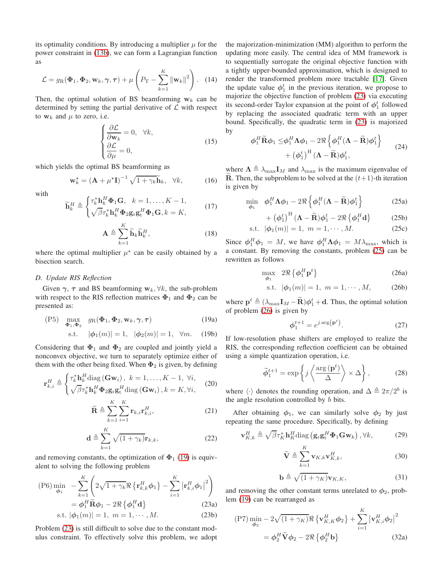its optimality conditions. By introducing a multiplier  $\mu$  for the power constraint in [\(13b\)](#page-2-7), we can form a Lagrangian function as

$$
\mathcal{L} = g_{\rm R}(\boldsymbol{\Phi}_1, \boldsymbol{\Phi}_2, \mathbf{w}_k, \boldsymbol{\gamma}, \boldsymbol{\tau}) + \mu \left( P_{\rm T} - \sum_{k=1}^K \|\mathbf{w}_k\|^2 \right). \quad (14)
$$

Then, the optimal solution of BS beamforming  $w_k$  can be determined by setting the partial derivative of  $\mathcal L$  with respect to  $w_k$  and  $\mu$  to zero, i.e.

$$
\begin{cases}\n\frac{\partial \mathcal{L}}{\partial \mathbf{w}_k} = 0, & \forall k, \\
\frac{\partial \mathcal{L}}{\partial \mu} = 0,\n\end{cases}
$$
\n(15)

which yields the optimal BS beamforming as

<span id="page-3-4"></span>
$$
\mathbf{w}_{k}^{\star} = (\mathbf{A} + \mu^{\star} \mathbf{I})^{-1} \sqrt{1 + \gamma_{k}} \widetilde{\mathbf{h}}_{k}, \quad \forall k,
$$
 (16)

with

$$
\widetilde{\mathbf{h}}_k^H \triangleq \begin{cases}\n\tau_k^* \mathbf{h}_k^H \boldsymbol{\Phi}_1 \mathbf{G}, \quad k = 1, \dots, K - 1, \\
\sqrt{\beta} \tau_k^* \mathbf{h}_k^H \boldsymbol{\Phi}_2 \mathbf{g}_r \mathbf{g}_t^H \boldsymbol{\Phi}_1 \mathbf{G}, k = K,\n\end{cases} \tag{17}
$$

$$
\mathbf{A} \triangleq \sum_{k=1}^{K} \widetilde{\mathbf{h}}_{k} \widetilde{\mathbf{h}}_{k}^{H}, \qquad (18)
$$

where the optimal multiplier  $\mu^*$  can be easily obtained by a bisection search.

# *D. Update RIS Reflection*

Given  $\gamma$ ,  $\tau$  and BS beamforming  $w_k$ ,  $\forall k$ , the sub-problem with respect to the RIS reflection matrices  $\Phi_1$  and  $\Phi_2$  can be presented as:

$$
(P5) \quad \max_{\mathbf{\Phi}_1, \mathbf{\Phi}_2} \quad g_R(\mathbf{\Phi}_1, \mathbf{\Phi}_2, \mathbf{w}_k, \gamma, \tau) \tag{19a}
$$

<span id="page-3-0"></span>s.t. 
$$
|\phi_1(m)| = 1, |\phi_2(m)| = 1, \forall m.
$$
 (19b)

Considering that  $\Phi_1$  and  $\Phi_2$  are coupled and jointly yield a nonconvex objective, we turn to separately optimize either of them with the other being fixed. When  $\Phi_2$  is given, by defining

$$
\mathbf{r}_{k,i}^{H} \triangleq \begin{cases} \tau_{k}^{*} \mathbf{h}_{k}^{H} \text{diag}(\mathbf{G} \mathbf{w}_{i}), \ k = 1, \dots, K - 1, \ \forall i, \\ \sqrt{\beta} \tau_{k}^{*} \mathbf{h}_{k}^{H} \boldsymbol{\Phi}_{2} \mathbf{g}_{r} \mathbf{g}_{t}^{H} \text{diag}(\mathbf{G} \mathbf{w}_{i}), k = K, \forall i, \end{cases} \tag{20}
$$

$$
\widetilde{\mathbf{R}} \triangleq \sum_{k=1}^{K} \sum_{i=1}^{K} \mathbf{r}_{k,i} \mathbf{r}_{k,i}^{H},
$$
\n(21)

<span id="page-3-1"></span>
$$
\mathbf{d} \triangleq \sum_{k=1}^{K} \sqrt{(1 + \gamma_k)} \mathbf{r}_{k,k},
$$
 (22)

and removing constants, the optimization of  $\Phi_1$  [\(19\)](#page-3-0) is equivalent to solving the following problem

$$
(P6)\min_{\phi_1} - \sum_{k=1}^K \left( 2\sqrt{1+\gamma_k} \Re\left\{ \mathbf{r}_{k,k}^H \phi_1 \right\} - \sum_{i=1}^K \left| \mathbf{r}_{k,i}^H \phi_1 \right|^2 \right)
$$

$$
= \phi_1^H \widetilde{\mathbf{R}} \phi_1 - 2\Re\left\{ \phi_1^H \mathbf{d} \right\}
$$
(23a)  
s.t.  $|\phi_1(m)| = 1, m = 1, \cdots, M.$  (23b)

Problem [\(23\)](#page-3-1) is still difficult to solve due to the constant modulus constraint. To effectively solve this problem, we adopt the majorization-minimization (MM) algorithm to perform the updating more easily. The central idea of MM framework is to sequentially surrogate the original objective function with a tightly upper-bounded approximation, which is designed to render the transformed problem more tractable [\[17\]](#page-5-15). Given the update value  $\phi_1^t$  in the previous iteration, we propose to majorize the objective function of problem [\(23\)](#page-3-1) via executing its second-order Taylor expansion at the point of  $\phi_1^t$  followed by replacing the associated quadratic term with an upper bound. Specifically, the quadratic term in [\(23\)](#page-3-1) is majorized by

$$
\phi_1^H \widetilde{\mathbf{R}} \phi_1 \leq \phi_1^H \Lambda \phi_1 - 2 \Re \left\{ \phi_1^H (\Lambda - \widetilde{\mathbf{R}}) \phi_1^t \right\} + \left( \phi_1^t \right)^H (\Lambda - \widetilde{\mathbf{R}}) \phi_1^t, \tag{24}
$$

where  $\Lambda \triangleq \lambda_{\text{max}} I_M$  and  $\lambda_{\text{max}}$  is the maximum eigenvalue of  $\widetilde{\mathbf{R}}$ . Then, the subproblem to be solved at the  $(t+1)$ -th iteration is given by

<span id="page-3-2"></span>
$$
\min_{\phi_1} \quad \phi_1^H \Lambda \phi_1 - 2 \Re \left\{ \phi_1^H (\Lambda - \widetilde{\mathbf{R}}) \phi_1^t \right\} \tag{25a}
$$

$$
+\left(\phi_1^t\right)^{\text{H}}\left(\mathbf{\Lambda}-\widetilde{\mathbf{R}}\right)\phi_1^t-2\Re\left\{\phi_1^H\mathbf{d}\right\}\tag{25b}
$$

s.t. 
$$
|\phi_1(m)| = 1, m = 1, \cdots, M.
$$
 (25c)

Since  $\phi_1^H \phi_1 = M$ , we have  $\phi_1^H \Lambda \phi_1 = M \lambda_{\text{max}}$ , which is a constant. By removing the constants, problem [\(25\)](#page-3-2) can be rewritten as follows

<span id="page-3-3"></span>
$$
\max_{\phi_1} 2\Re\left\{\phi_1^H \mathbf{p}^t\right\} \tag{26a}
$$

s.t. 
$$
|\phi_1(m)| = 1, m = 1, \cdots, M,
$$
 (26b)

where  $\mathbf{p}^t \triangleq (\lambda_{\text{max}}\mathbf{I}_M - \widetilde{\mathbf{R}})\boldsymbol{\phi}_1^t + \mathbf{d}$ . Thus, the optimal solution of problem [\(26\)](#page-3-3) is given by

<span id="page-3-5"></span>
$$
\phi_1^{t+1} = e^{j \arg(\mathbf{p}^t)}.
$$
\n(27)

If low-resolution phase shifters are employed to realize the RIS, the corresponding reflection coefficient can be obtained using a simple quantization operation, i.e.

<span id="page-3-6"></span>
$$
\widetilde{\phi}_1^{t+1} = \exp\left\{j\left\langle \frac{\arg\left(\mathbf{p}^t\right)}{\Delta} \right\rangle \times \Delta\right\},\tag{28}
$$

where  $\langle \cdot \rangle$  denotes the rounding operation, and  $\Delta \triangleq 2\pi/2^b$  is the angle resolution controlled by  $b$  bits.

After obtaining  $\phi_1$ , we can similarly solve  $\phi_2$  by just repeating the same procedure. Specifically, by defining

$$
\mathbf{v}_{K,k}^{H} \triangleq \sqrt{\beta} \tau_K^* \mathbf{h}_K^H \text{diag}\left(\mathbf{g}_r \mathbf{g}_t^H \mathbf{\Phi}_1 \mathbf{G} \mathbf{w}_k\right), \forall k,
$$
 (29)

$$
\widetilde{\mathbf{V}} \triangleq \sum_{k=1}^{K} \mathbf{v}_{K,k} \mathbf{v}_{K,k}^{H}, \tag{30}
$$

<span id="page-3-7"></span>
$$
\mathbf{b} \triangleq \sqrt{(1+\gamma_K)} \mathbf{v}_{K,K},\tag{31}
$$

and removing the other constant terms unrelated to  $\phi_2$ , problem [\(19\)](#page-3-0) can be rearranged as

$$
\begin{aligned} \text{(P7)} \min_{\phi_2} -2\sqrt{(1+\gamma_K)} \Re\left\{\mathbf{v}_{K,K}^H \phi_2\right\} + \sum_{i=1}^K \left|\mathbf{v}_{K,i}^H \phi_2\right|^2\\ = \phi_2^H \widetilde{\mathbf{V}} \phi_2 - 2 \Re\left\{\phi_2^H \mathbf{b}\right\} \end{aligned} \tag{32a}
$$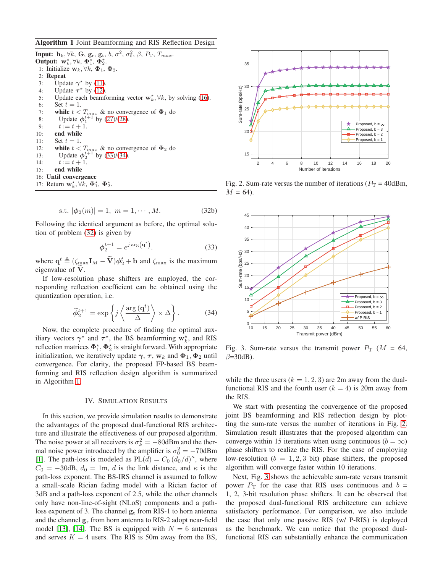## <span id="page-4-2"></span>Algorithm 1 Joint Beamforming and RIS Reflection Design

**Input:**  $h_k, \forall k$ , G,  $g_r, g_t, b, \sigma^2, \sigma_0^2, \beta, P_T, T_{max}$ . Output:  $\mathbf{w}_k^*, \forall k, \Phi_1^*, \Phi_2^*.$ 1: Initialize  $\mathbf{w}_k, \forall k, \Phi_1, \Phi_2$ . 2: Repeat 3: Update  $\gamma^*$  by [\(11\)](#page-2-8). 4: Update  $\tau^*$  by [\(12\)](#page-2-9). 5: Update each beamforming vector  $w_k^*$ ,  $\forall k$ , by solving [\(16\)](#page-3-4). 6: Set  $t = 1$ . 7: while  $t < T_{max}$  & no convergence of  $\Phi_1$  do 8: Update  $\phi_1^{t+1}$  by [\(27\)](#page-3-5)/[\(28\)](#page-3-6). 9:  $t := t + 1$ . 10: end while 11: Set  $t = 1$ . 12: while  $t < T_{max}$  & no convergence of  $\Phi_2$  do 13: Update  $\phi_2^{t+1}$  by [\(33\)](#page-4-0)/[\(34\)](#page-4-1). 14:  $t := t + 1.$ 15: end while 16: Until convergence 17: Return  $\mathbf{w}_k^*, \forall k, \Phi_1^*, \Phi_2^*.$ 

s.t. 
$$
|\phi_2(m)| = 1, m = 1, \cdots, M.
$$
 (32b)

Following the identical argument as before, the optimal solution of problem [\(32\)](#page-3-7) is given by

<span id="page-4-0"></span>
$$
\phi_2^{t+1} = e^{j \arg(\mathbf{q}^t)}.
$$
\n(33)

where  $\mathbf{q}^t \triangleq (\zeta_{\text{max}}\mathbf{I}_M - \tilde{\mathbf{V}})\boldsymbol{\phi}_2^t + \mathbf{b}$  and  $\zeta_{\text{max}}$  is the maximum eigenvalue of V.

If low-resolution phase shifters are employed, the corresponding reflection coefficient can be obtained using the quantization operation, i.e.

<span id="page-4-1"></span>
$$
\widetilde{\phi}_2^{t+1} = \exp\left\{j\left\langle \frac{\arg\left(\mathbf{q}^t\right)}{\Delta} \right\rangle \times \Delta\right\}.
$$
 (34)

Now, the complete procedure of finding the optimal auxiliary vectors  $\gamma^*$  and  $\tau^*$ , the BS beamforming  $w_k^*$ , and RIS reflection matrices  $\Phi_1^{\star}, \Phi_2^{\star}$  is straightforward. With appropriate initialization, we iteratively update  $\gamma$ ,  $\tau$ ,  $\mathbf{w}_k$  and  $\mathbf{\Phi}_1$ ,  $\mathbf{\Phi}_2$  until convergence. For clarity, the proposed FP-based BS beamforming and RIS reflection design algorithm is summarized in Algorithm [1.](#page-4-2)

## IV. SIMULATION RESULTS

In this section, we provide simulation results to demonstrate the advantages of the proposed dual-functional RIS architecture and illustrate the effectiveness of our proposed algorithm. The noise power at all receivers is  $\sigma_k^2 = -80d$ Bm and the thermal noise power introduced by the amplifier is  $\sigma_0^2 = -70$ dBm [\[1\]](#page-5-0). The path-loss is modeled as  $PL(d) = C_0 (d_0/d)^{\kappa}$ , where  $C_0 = -30$ dB,  $d_0 = 1$ m, d is the link distance, and  $\kappa$  is the path-loss exponent. The BS-IRS channel is assumed to follow a small-scale Rician fading model with a Rician factor of 3dB and a path-loss exponent of 2.5, while the other channels only have non-line-of-sight (NLoS) components and a pathloss exponent of 3. The channel  $g_t$  from RIS-1 to horn antenna and the channel  $g_r$  from horn antenna to RIS-2 adopt near-field model [\[13\]](#page-5-11), [\[14\]](#page-5-12). The BS is equipped with  $N = 6$  antennas and serves  $K = 4$  users. The RIS is 50m away from the BS,

<span id="page-4-3"></span>

Fig. 2. Sum-rate versus the number of iterations ( $P_T = 40$ dBm,  $M = 64$ ).

<span id="page-4-4"></span>

Fig. 3. Sum-rate versus the transmit power  $P_T$  ( $M = 64$ ,  $\beta$ =30dB).

while the three users  $(k = 1, 2, 3)$  are 2m away from the dualfunctional RIS and the fourth user  $(k = 4)$  is 20m away from the RIS.

We start with presenting the convergence of the proposed joint BS beamforming and RIS reflection design by plotting the sum-rate versus the number of iterations in Fig. [2.](#page-4-3) Simulation result illustrates that the proposed algorithm can converge within 15 iterations when using continuous ( $b = \infty$ ) phase shifters to realize the RIS. For the case of employing low-resolution ( $b = 1, 2, 3$  bit) phase shifters, the proposed algorithm will converge faster within 10 iterations.

Next, Fig. [3](#page-4-4) shows the achievable sum-rate versus transmit power  $P_T$  for the case that RIS uses continuous and  $b =$ 1, 2, 3-bit resolution phase shifters. It can be observed that the proposed dual-functional RIS architecture can achieve satisfactory performance. For comparison, we also include the case that only one passive RIS (w/ P-RIS) is deployed as the benchmark. We can notice that the proposed dualfunctional RIS can substantially enhance the communication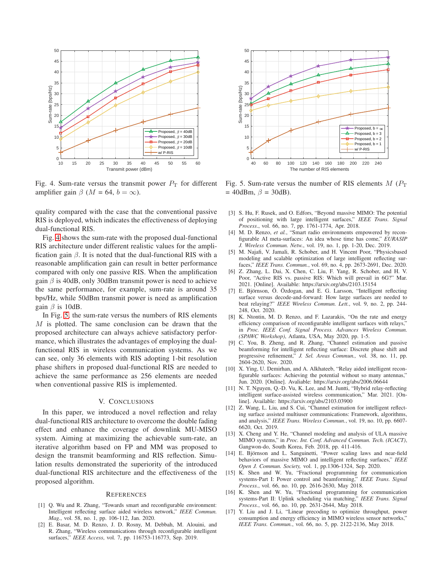<span id="page-5-16"></span>

Fig. 4. Sum-rate versus the transmit power  $P_T$  for different amplifier gain  $\beta$  ( $M = 64$ ,  $b = \infty$ ).

quality compared with the case that the conventional passive RIS is deployed, which indicates the effectiveness of deploying dual-functional RIS.

Fig. [4](#page-5-16) shows the sum-rate with the proposed dual-functional RIS architecture under different realistic values for the amplification gain  $\beta$ . It is noted that the dual-functional RIS with a reasonable amplification gain can result in better performance compared with only one passive RIS. When the amplification gain  $\beta$  is 40dB, only 30dBm transmit power is need to achieve the same performance, for example, sum-rate is around 35 bps/Hz, while 50dBm transmit power is need as amplification gain  $\beta$  is 10dB.

In Fig. [5,](#page-5-17) the sum-rate versus the numbers of RIS elements M is plotted. The same conclusion can be drawn that the proposed architecture can always achieve satisfactory performance, which illustrates the advantages of employing the dualfunctional RIS in wireless communication systems. As we can see, only 36 elements with RIS adopting 1-bit resolution phase shifters in proposed dual-functional RIS are needed to achieve the same performance as 256 elements are needed when conventional passive RIS is implemented.

## V. CONCLUSIONS

In this paper, we introduced a novel reflection and relay dual-functional RIS architecture to overcome the double fading effect and enhance the coverage of downlink MU-MISO system. Aiming at maximizing the achievable sum-rate, an iterative algorithm based on FP and MM was proposed to design the transmit beamforming and RIS reflection. Simulation results demonstrated the superiority of the introduced dual-functional RIS architecture and the effectiveness of the proposed algorithm.

#### **REFERENCES**

- <span id="page-5-0"></span>[1] Q. Wu and R. Zhang, "Towards smart and reconfigurable environment: Intelligent reflecting surface aided wireless network," *IEEE Commun. Mag.*, vol. 58, no. 1, pp. 106-112, Jan. 2020.
- <span id="page-5-1"></span>[2] E. Basar, M. D. Renzo, J. D. Rosny, M. Debbah, M. Alouini, and R. Zhang, "Wireless communications through reconfigurable intelligent surfaces," *IEEE Access*, vol. 7, pp. 116753-116773, Sep. 2019.

<span id="page-5-17"></span>

Fig. 5. Sum-rate versus the number of RIS elements  $M(P_T)$  $= 40$ dBm,  $\beta = 30$ dB).

- <span id="page-5-2"></span>[3] S. Hu, F. Rusek, and O. Edfors, "Beyond massive MIMO: The potential of positioning with large intelligent surfaces," *IEEE Trans. Signal Process*., vol. 66, no. 7, pp. 1761-1774, Apr. 2018.
- [4] M. D. Renzo, *et al.*, "Smart radio environments empowered by reconfigurable AI meta-surfaces: An idea whose time has come," *EURASIP J. Wireless Commun. Netw.*, vol. 19, no. 1, pp. 1-20, Dec. 2019.
- <span id="page-5-3"></span>[5] M. Najafi, V. Jamali, R. Schober, and H. Vincent Poor, "Physicsbased modeling and scalable optimization of large intelligent reflecting surfaces," *IEEE Trans. Commun.*, vol. 69, no. 4, pp. 2673-2691, Dec. 2020.
- <span id="page-5-4"></span>[6] Z. Zhang, L. Dai, X. Chen, C. Liu, F. Yang, R. Schober, and H. V. Poor, "Active RIS vs. passive RIS: Which will prevail in 6G?" Mar. 2021. [Online]. Available: https://arxiv.org/abs/2103.15154
- <span id="page-5-5"></span>[7] E. Björnson, O. Ozdogan, and E. G. Larsson, "Intelligent reflecting surface versus decode-and-forward: How large surfaces are needed to beat relaying?" *IEEE Wireless Commun. Lett.*, vol. 9, no. 2, pp. 244- 248, Oct. 2020.
- <span id="page-5-6"></span>[8] K. Ntontin, M. D. Renzo, and F. Lazarakis, "On the rate and energy efficiency comparison of reconfigurable intelligent surfaces with relays, in *Proc. IEEE Conf. Signal Process. Advances Wireless Commun. (SPAWC Workshop)*, Atlanta, USA, May 2020, pp. 1-5.
- <span id="page-5-7"></span>[9] C. You, B. Zheng, and R. Zhang, "Channel estimation and passive beamforming for intelligent reflecting surface: Discrete phase shift and progressive refinement," *J. Sel. Areas Commun.,* vol. 38, no. 11, pp. 2604-2620, Nov. 2020.
- <span id="page-5-8"></span>[10] X. Ying, U. Demirhan, and A. Alkhateeb, "Relay aided intelligent reconfigurable surfaces: Achieving the potential without so many antennas," Jun. 2020. [Online]. Avaliable: https://arxiv.org/abs/2006.06644
- <span id="page-5-9"></span>[11] N. T. Nguyen, Q.-D. Vu, K. Lee, and M. Juntti, "Hybrid relay-reflecting intelligent surface-assisted wireless communication," Mar. 2021. [Online]. Available: https://arxiv.org/abs/2103.03900
- <span id="page-5-10"></span>[12] Z. Wang, L. Liu, and S. Cui, "Channel estimation for intelligent reflecting surface assisted multiuser communications: Framework, algorithms, and analysis," *IEEE Trans. Wireless Commun.*, vol. 19, no. 10, pp. 6607- 6620, Oct. 2019.
- <span id="page-5-11"></span>[13] X. Cheng and Y. He, "Channel modeling and analysis of ULA massive MIMO systems," in *Proc. Int. Conf. Advanced Commun. Tech. (ICACT)*, Gangwon-do, South Korea, Feb. 2018, pp. 411-416.
- <span id="page-5-12"></span>[14] E. Björnson and L. Sanguinetti, "Power scaling laws and near-field behaviors of massive MIMO and intelligent reflecting surfaces," *IEEE Open J. Commun. Society,* vol. 1, pp.1306-1324, Sep. 2020.
- <span id="page-5-13"></span>[15] K. Shen and W. Yu, "Fractional programming for communication systems-Part I: Power control and beamforming," *IEEE Trans. Signal Process.*, vol. 66, no. 10, pp. 2616-2630, May 2018.
- <span id="page-5-14"></span>[16] K. Shen and W. Yu, "Fractional programming for communication systems-Part II: Uplink scheduling via matching," *IEEE Trans. Signal Process.*, vol. 66, no. 10, pp. 2631-2644, May 2018.
- <span id="page-5-15"></span>[17] Y. Liu and J. Li, "Linear precoding to optimize throughput, power consumption and energy efficiency in MIMO wireless sensor networks," *IEEE Trans. Commun.*, vol. 66, no. 5, pp. 2122-2136, May 2018.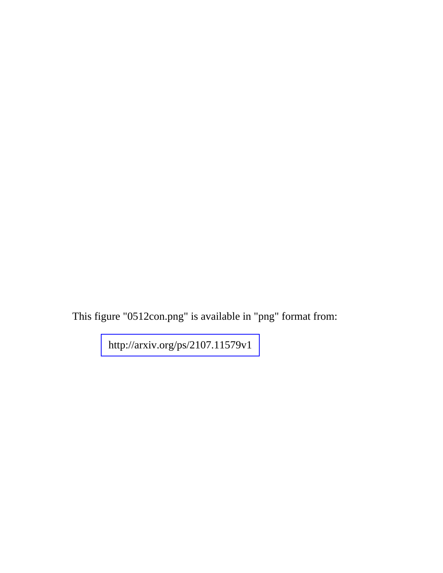This figure "0512con.png" is available in "png" format from: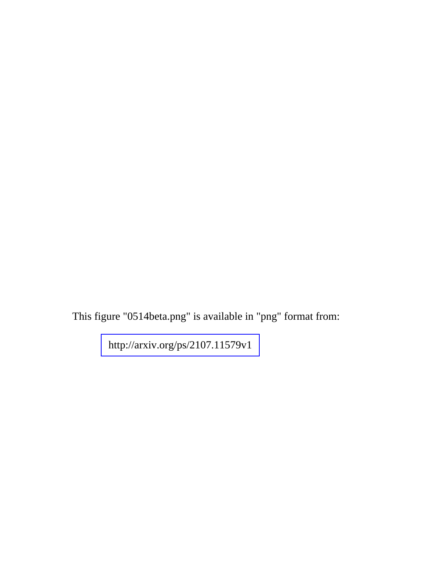This figure "0514beta.png" is available in "png" format from: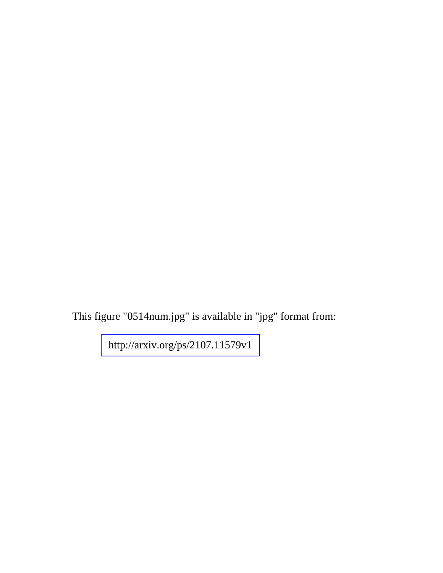This figure "0514num.jpg" is available in "jpg" format from: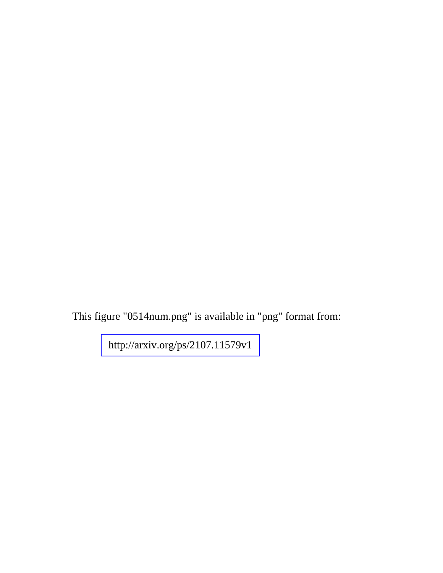This figure "0514num.png" is available in "png" format from: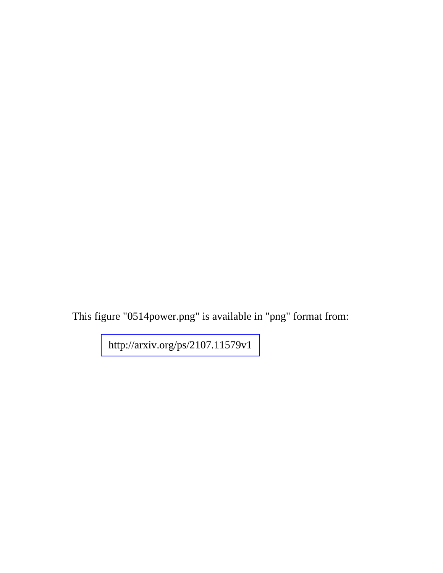This figure "0514power.png" is available in "png" format from: